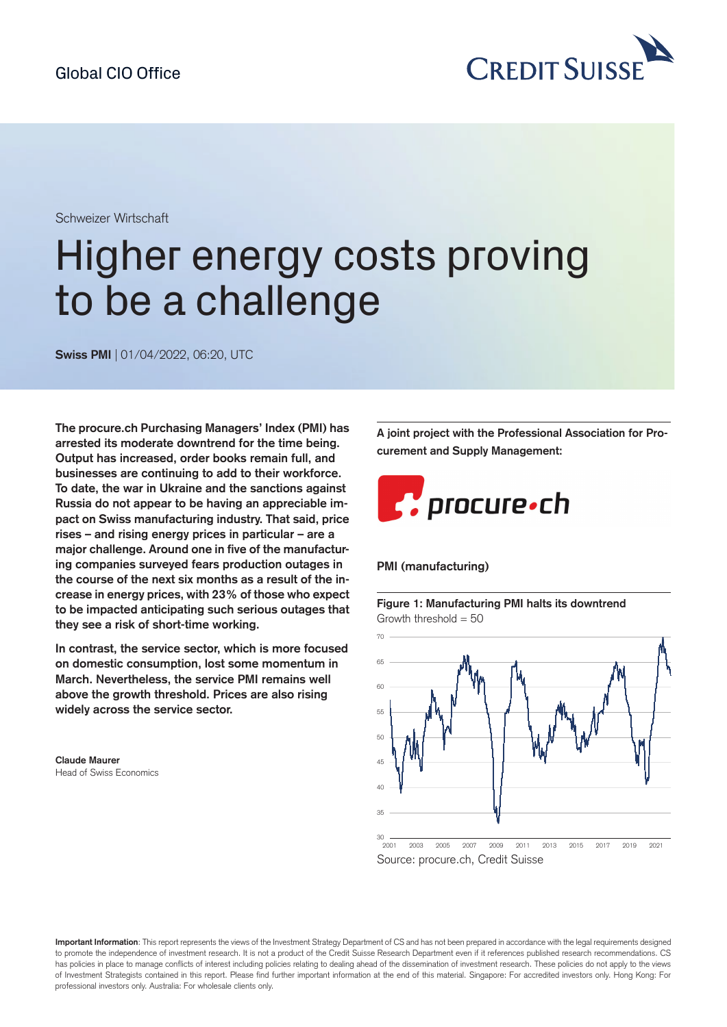

Schweizer Wirtschaft

# Higher energy costs proving to be a challenge

**Swiss PMI** | 01/04/2022, 06:20, UTC

**The [procure.ch](https://procure.ch) Purchasing Managers' Index (PMI) has arrested its moderate downtrend for the time being. Output has increased, order books remain full, and businesses are continuing to add to their workforce. To date, the war in Ukraine and the sanctions against Russia do not appear to be having an appreciable impact on Swiss manufacturing industry. That said, price rises – and rising energy prices in particular – are a major challenge. Around one in five of the manufacturing companies surveyed fears production outages in the course of the next six months as a result of the increase in energy prices, with 23% of those who expect to be impacted anticipating such serious outages that they see a risk of short-time working.**

**In contrast, the service sector, which is more focused on domestic consumption, lost some momentum in March. Nevertheless, the service PMI remains well above the growth threshold. Prices are also rising widely across the service sector.**

**Claude Maurer** Head of Swiss Economics **A joint project with the Professional Association for Procurement and Supply Management:**



#### **PMI (manufacturing)**

**Figure 1: Manufacturing PMI halts its downtrend** Growth threshold  $= 50$ 





**Important Information**: This report represents the views of the Investment Strategy Department of CS and has not been prepared in accordance with the legal requirements designed to promote the independence of investment research. It is not a product of the Credit Suisse Research Department even if it references published research recommendations. CS has policies in place to manage conflicts of interest including policies relating to dealing ahead of the dissemination of investment research. These policies do not apply to the views of Investment Strategists contained in this report. Please find further important information at the end of this material. Singapore: For accredited investors only. Hong Kong: For professional investors only. Australia: For wholesale clients only.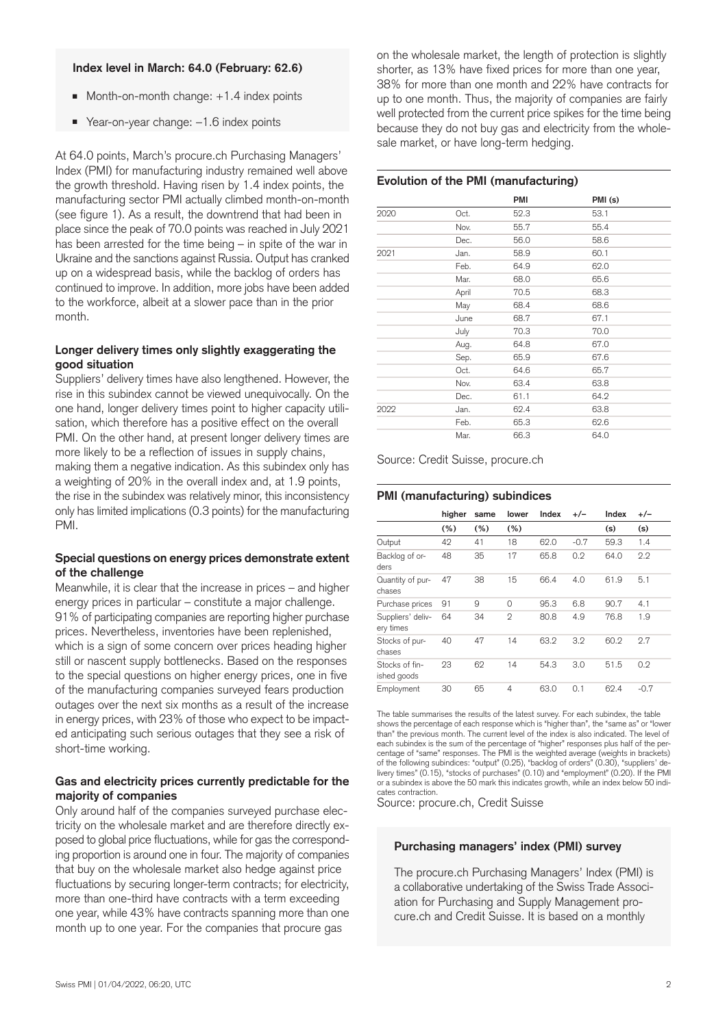#### **Index level in March: 64.0 (February: 62.6)**

- $\blacksquare$  Month-on-month change:  $+1.4$  index points
- Year-on-year change: -1.6 index points

At 64.0 points, March's [procure.ch](https://procure.ch) Purchasing Managers' Index (PMI) for manufacturing industry remained well above the growth threshold. Having risen by 1.4 index points, the manufacturing sector PMI actually climbed month-on-month (see figure 1). As a result, the downtrend that had been in place since the peak of 70.0 points was reached in July 2021 has been arrested for the time being – in spite of the war in Ukraine and the sanctions against Russia. Output has cranked up on a widespread basis, while the backlog of orders has continued to improve. In addition, more jobs have been added to the workforce, albeit at a slower pace than in the prior month.

# **Longer delivery times only slightly exaggerating the good situation**

Suppliers' delivery times have also lengthened. However, the rise in this subindex cannot be viewed unequivocally. On the one hand, longer delivery times point to higher capacity utilisation, which therefore has a positive effect on the overall PMI. On the other hand, at present longer delivery times are more likely to be a reflection of issues in supply chains, making them a negative indication. As this subindex only has a weighting of 20% in the overall index and, at 1.9 points, the rise in the subindex was relatively minor, this inconsistency only has limited implications (0.3 points) for the manufacturing PMI.

#### **Special questions on energy prices demonstrate extent of the challenge**

Meanwhile, it is clear that the increase in prices – and higher energy prices in particular – constitute a major challenge. 91% of participating companies are reporting higher purchase prices. Nevertheless, inventories have been replenished, which is a sign of some concern over prices heading higher still or nascent supply bottlenecks. Based on the responses to the special questions on higher energy prices, one in five of the manufacturing companies surveyed fears production outages over the next six months as a result of the increase in energy prices, with 23% of those who expect to be impacted anticipating such serious outages that they see a risk of short-time working.

# **Gas and electricity prices currently predictable for the majority of companies**

Only around half of the companies surveyed purchase electricity on the wholesale market and are therefore directly exposed to global price fluctuations, while for gas the corresponding proportion is around one in four. The majority of companies that buy on the wholesale market also hedge against price fluctuations by securing longer-term contracts; for electricity, more than one-third have contracts with a term exceeding one year, while 43% have contracts spanning more than one month up to one year. For the companies that procure gas

on the wholesale market, the length of protection is slightly shorter, as 13% have fixed prices for more than one year, 38% for more than one month and 22% have contracts for up to one month. Thus, the majority of companies are fairly well protected from the current price spikes for the time being because they do not buy gas and electricity from the wholesale market, or have long-term hedging.

#### **Evolution of the PMI (manufacturing)**

|      |       | <b>PMI</b> | PMI (s) |  |
|------|-------|------------|---------|--|
| 2020 | Oct.  | 52.3       | 53.1    |  |
|      | Nov.  | 55.7       | 55.4    |  |
|      | Dec.  | 56.0       | 58.6    |  |
| 2021 | Jan.  | 58.9       | 60.1    |  |
|      | Feb.  | 64.9       | 62.0    |  |
|      | Mar.  | 68.0       | 65.6    |  |
|      | April | 70.5       | 68.3    |  |
|      | May   | 68.4       | 68.6    |  |
|      | June  | 68.7       | 67.1    |  |
|      | July  | 70.3       | 70.0    |  |
|      | Aug.  | 64.8       | 67.0    |  |
|      | Sep.  | 65.9       | 67.6    |  |
|      | Oct.  | 64.6       | 65.7    |  |
|      | Nov.  | 63.4       | 63.8    |  |
|      | Dec.  | 61.1       | 64.2    |  |
| 2022 | Jan.  | 62.4       | 63.8    |  |
|      | Feb.  | 65.3       | 62.6    |  |
|      | Mar.  | 66.3       | 64.0    |  |

Source: Credit Suisse, [procure.ch](https://procure.ch)

#### **PMI (manufacturing) subindices**

|                                | higher | same | lower          | Index | $+/-$  | Index | +/-    |
|--------------------------------|--------|------|----------------|-------|--------|-------|--------|
|                                | (%)    | (%)  | (%)            |       |        | (s)   | (s)    |
| Output                         | 42     | 41   | 18             | 62.0  | $-0.7$ | 59.3  | 1.4    |
| Backlog of or-<br>ders         | 48     | 35   | 17             | 65.8  | 0.2    | 64.0  | 2.2    |
| Quantity of pur-<br>chases     | 47     | 38   | 15             | 66.4  | 4.0    | 61.9  | 5.1    |
| Purchase prices                | 91     | 9    | $\Omega$       | 95.3  | 6.8    | 90.7  | 4.1    |
| Suppliers' deliv-<br>ery times | 64     | 34   | $\overline{2}$ | 80.8  | 4.9    | 76.8  | 1.9    |
| Stocks of pur-<br>chases       | 40     | 47   | 14             | 63.2  | 3.2    | 60.2  | 2.7    |
| Stocks of fin-<br>ished goods  | 23     | 62   | 14             | 54.3  | 3.0    | 51.5  | 0.2    |
| Employment                     | 30     | 65   | 4              | 63.0  | 0.1    | 62.4  | $-0.7$ |

The table summarises the results of the latest survey. For each subindex, the table shows the percentage of each response which is "higher than", the "same as" or "lower than" the previous month. The current level of the index is also indicated. The level of each subindex is the sum of the percentage of "higher" responses plus half of the percentage of "same" responses. The PMI is the weighted average (weights in brackets) of the following subindices: "output" (0.25), "backlog of orders" (0.30), "suppliers' delivery times" (0.15), "stocks of purchases" (0.10) and "employment" (0.20). If the PMI or a subindex is above the 50 mark this indicates growth, while an index below 50 indicates contraction.

Source: [procure.ch](https://procure.ch), Credit Suisse

#### **Purchasing managers' index (PMI) survey**

The [procure.ch](https://procure.ch) Purchasing Managers' Index (PMI) is a collaborative undertaking of the Swiss Trade Association for Purchasing and Supply Management procure.ch and Credit Suisse. It is based on a monthly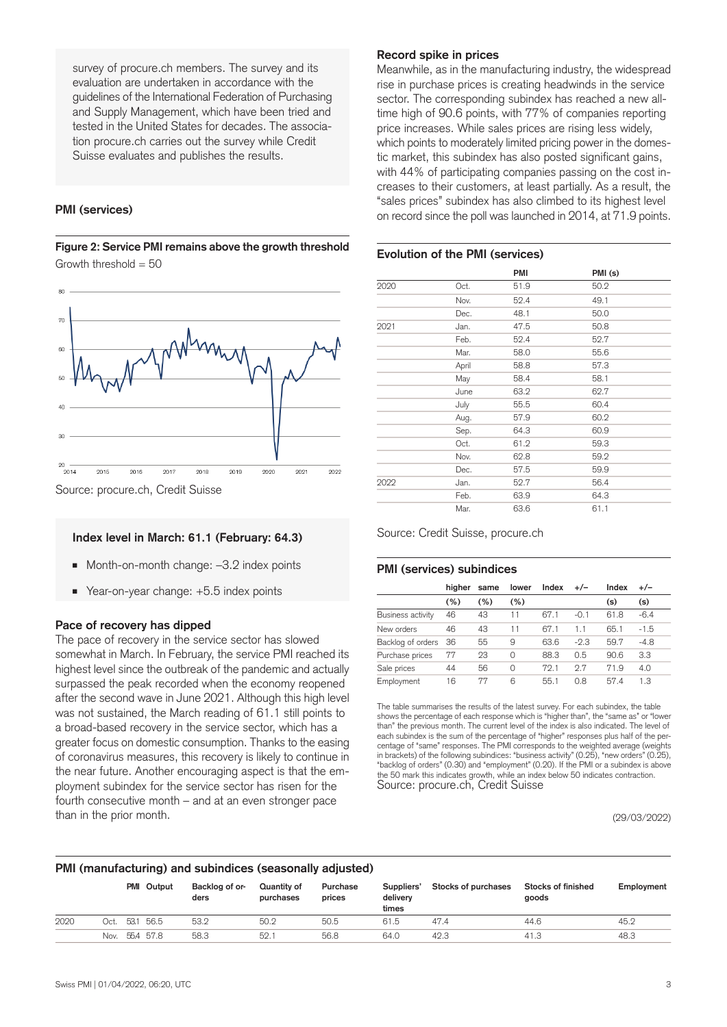survey of [procure.ch](https://procure.ch) members. The survey and its evaluation are undertaken in accordance with the guidelines of the International Federation of Purchasing and Supply Management, which have been tried and tested in the United States for decades. The association [procure.ch](https://procure.ch) carries out the survey while Credit Suisse evaluates and publishes the results.

## **PMI (services)**

**Figure 2: Service PMI remains above the growth threshold** Growth threshold  $= 50$ 



#### **Index level in March: 61.1 (February: 64.3)**

- Month-on-month change: -3.2 index points
- Year-on-year change: +5.5 index points

#### **Pace of recovery has dipped**

The pace of recovery in the service sector has slowed somewhat in March. In February, the service PMI reached its highest level since the outbreak of the pandemic and actually surpassed the peak recorded when the economy reopened after the second wave in June 2021. Although this high level was not sustained, the March reading of 61.1 still points to a broad-based recovery in the service sector, which has a greater focus on domestic consumption. Thanks to the easing of coronavirus measures, this recovery is likely to continue in the near future. Another encouraging aspect is that the employment subindex for the service sector has risen for the fourth consecutive month – and at an even stronger pace than in the prior month.

#### **Record spike in prices**

Meanwhile, as in the manufacturing industry, the widespread rise in purchase prices is creating headwinds in the service sector. The corresponding subindex has reached a new alltime high of 90.6 points, with 77% of companies reporting price increases. While sales prices are rising less widely, which points to moderately limited pricing power in the domestic market, this subindex has also posted significant gains, with 44% of participating companies passing on the cost increases to their customers, at least partially. As a result, the "sales prices" subindex has also climbed to its highest level on record since the poll was launched in 2014, at 71.9 points.

#### **Evolution of the PMI (services)**

|      |       | <b>PMI</b> | PMI (s) |  |
|------|-------|------------|---------|--|
| 2020 | Oct.  | 51.9       | 50.2    |  |
|      | Nov.  | 52.4       | 49.1    |  |
|      | Dec.  | 48.1       | 50.0    |  |
| 2021 | Jan.  | 47.5       | 50.8    |  |
|      | Feb.  | 52.4       | 52.7    |  |
|      | Mar.  | 58.0       | 55.6    |  |
|      | April | 58.8       | 57.3    |  |
|      | May   | 58.4       | 58.1    |  |
|      | June  | 63.2       | 62.7    |  |
|      | July  | 55.5       | 60.4    |  |
|      | Aug.  | 57.9       | 60.2    |  |
|      | Sep.  | 64.3       | 60.9    |  |
|      | Oct.  | 61.2       | 59.3    |  |
|      | Nov.  | 62.8       | 59.2    |  |
|      | Dec.  | 57.5       | 59.9    |  |
| 2022 | Jan.  | 52.7       | 56.4    |  |
|      | Feb.  | 63.9       | 64.3    |  |
|      | Mar.  | 63.6       | 61.1    |  |

Source: Credit Suisse, [procure.ch](https://procure.ch)

#### **PMI (services) subindices**

|                   | hiaher | same | lower    | Index | $+/-$  | Index | $+/-$  |
|-------------------|--------|------|----------|-------|--------|-------|--------|
|                   | (%)    | (%)  | (%)      |       |        | (s)   | (s)    |
| Business activity | 46     | 43   | 11       | 67.1  | $-0.1$ | 61.8  | $-6.4$ |
| New orders        | 46     | 43   | 11       | 67.1  |        | 65.1  | $-1.5$ |
| Backlog of orders | -36    | 55   | 9        | 63.6  | $-2.3$ | 59.7  | $-4.8$ |
| Purchase prices   | 77     | 23   | $\Omega$ | 88.3  | 0.5    | 90.6  | 3.3    |
| Sale prices       | 44     | 56   | $\Omega$ | 79.1  | 27     | 71.9  | 4.0    |
| Employment        | 16     | 77   | 6        | 55.1  | 0.8    | 57.4  | 1.3    |

The table summarises the results of the latest survey. For each subindex, the table shows the percentage of each response which is "higher than", the "same as" or "lower than" the previous month. The current level of the index is also indicated. The level of each subindex is the sum of the percentage of "higher" responses plus half of the percentage of "same" responses. The PMI corresponds to the weighted average (weights in brackets) of the following subindices: "business activity" (0.25), "new orders" (0.25), "backlog of orders" (0.30) and "employment" (0.20). If the PMI or a subindex is above the 50 mark this indicates growth, while an index below 50 indicates contraction. Source: [procure.ch](https://procure.ch), Credit Suisse

(29/03/2022)

#### **PMI (manufacturing) and subindices (seasonally adjusted)**

|      |      |      | PMI Output | Backlog of or-<br>ders | Quantity of<br>purchases | Purchase<br>prices | Suppliers'<br>delivery<br>times | Stocks of purchases | Stocks of finished<br>goods | Employment |
|------|------|------|------------|------------------------|--------------------------|--------------------|---------------------------------|---------------------|-----------------------------|------------|
| 2020 | Oct. | 53.1 | 56.5       | 53.2                   | 50.2                     | 50.5               | 61.5                            | 47.4                | 44.6                        | 45.2       |
|      | Nov. |      | 55.4 57.8  | 58.3                   | 52.1                     | 56.8               | 64.0                            | 42.3                | 41.3                        | 48.3       |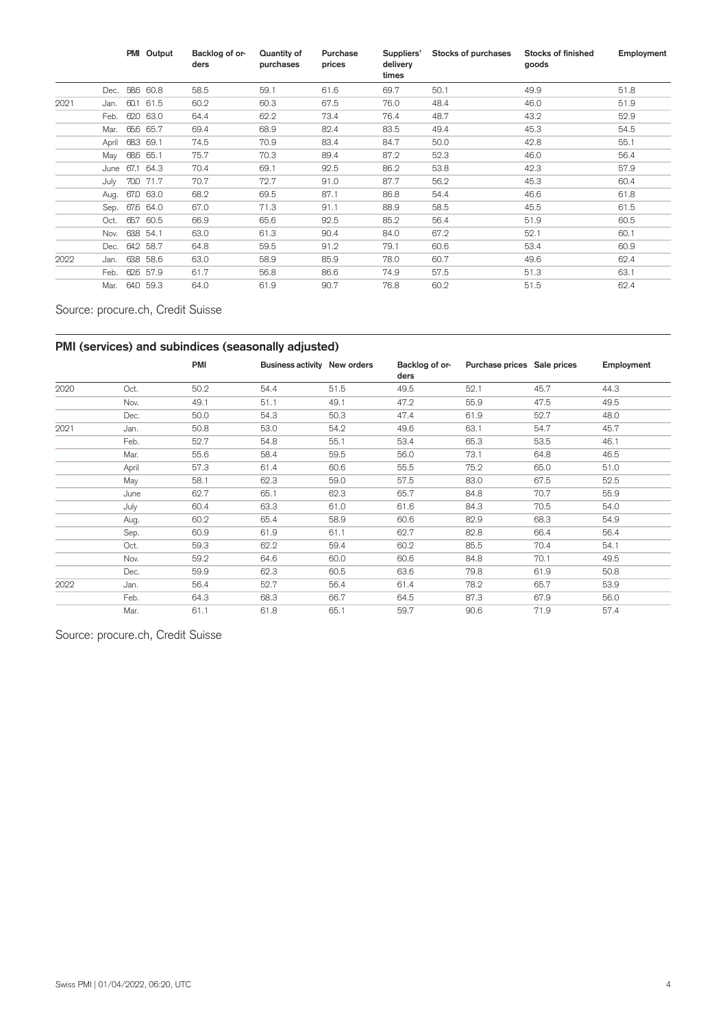|      |       | PMI Output | Backlog of or-<br>ders | Quantity of<br>purchases | Purchase<br>prices | Suppliers'<br>delivery<br>times | Stocks of purchases | Stocks of finished<br>goods | Employment |
|------|-------|------------|------------------------|--------------------------|--------------------|---------------------------------|---------------------|-----------------------------|------------|
|      | Dec.  | 58.6 60.8  | 58.5                   | 59.1                     | 61.6               | 69.7                            | 50.1                | 49.9                        | 51.8       |
| 2021 | Jan.  | 60.1 61.5  | 60.2                   | 60.3                     | 67.5               | 76.0                            | 48.4                | 46.0                        | 51.9       |
|      | Feb.  | 62.0 63.0  | 64.4                   | 62.2                     | 73.4               | 76.4                            | 48.7                | 43.2                        | 52.9       |
|      | Mar.  | 65.6 65.7  | 69.4                   | 68.9                     | 82.4               | 83.5                            | 49.4                | 45.3                        | 54.5       |
|      | April | 683 69.1   | 74.5                   | 70.9                     | 83.4               | 84.7                            | 50.0                | 42.8                        | 55.1       |
|      | May   | 686 65.1   | 75.7                   | 70.3                     | 89.4               | 87.2                            | 52.3                | 46.0                        | 56.4       |
|      | June  | 67.1 64.3  | 70.4                   | 69.1                     | 92.5               | 86.2                            | 53.8                | 42.3                        | 57.9       |
|      | July  | 70.0 71.7  | 70.7                   | 72.7                     | 91.0               | 87.7                            | 56.2                | 45.3                        | 60.4       |
|      | Aug.  | 67.0 63.0  | 68.2                   | 69.5                     | 87.1               | 86.8                            | 54.4                | 46.6                        | 61.8       |
|      | Sep.  | 67.6 64.0  | 67.0                   | 71.3                     | 91.1               | 88.9                            | 58.5                | 45.5                        | 61.5       |
|      | Oct.  | 65.7 60.5  | 66.9                   | 65.6                     | 92.5               | 85.2                            | 56.4                | 51.9                        | 60.5       |
|      | Nov.  | 638 54.1   | 63.0                   | 61.3                     | 90.4               | 84.0                            | 67.2                | 52.1                        | 60.1       |
|      | Dec.  | 64.2 58.7  | 64.8                   | 59.5                     | 91.2               | 79.1                            | 60.6                | 53.4                        | 60.9       |
| 2022 | Jan.  | 638 58.6   | 63.0                   | 58.9                     | 85.9               | 78.0                            | 60.7                | 49.6                        | 62.4       |
|      | Feb.  | 626 57.9   | 61.7                   | 56.8                     | 86.6               | 74.9                            | 57.5                | 51.3                        | 63.1       |
|      | Mar.  | 64.0 59.3  | 64.0                   | 61.9                     | 90.7               | 76.8                            | 60.2                | 51.5                        | 62.4       |

Source: procure.ch, Credit Suisse

# **PMI (services) and subindices (seasonally adjusted)**

|      |       | <b>PMI</b> | Business activity New orders |      | Backlog of or-<br>ders | Purchase prices Sale prices |      | Employment |
|------|-------|------------|------------------------------|------|------------------------|-----------------------------|------|------------|
| 2020 | Oct.  | 50.2       | 54.4                         | 51.5 | 49.5                   | 52.1                        | 45.7 | 44.3       |
|      | Nov.  | 49.1       | 51.1                         | 49.1 | 47.2                   | 55.9                        | 47.5 | 49.5       |
|      | Dec.  | 50.0       | 54.3                         | 50.3 | 47.4                   | 61.9                        | 52.7 | 48.0       |
| 2021 | Jan.  | 50.8       | 53.0                         | 54.2 | 49.6                   | 63.1                        | 54.7 | 45.7       |
|      | Feb.  | 52.7       | 54.8                         | 55.1 | 53.4                   | 65.3                        | 53.5 | 46.1       |
|      | Mar.  | 55.6       | 58.4                         | 59.5 | 56.0                   | 73.1                        | 64.8 | 46.5       |
|      | April | 57.3       | 61.4                         | 60.6 | 55.5                   | 75.2                        | 65.0 | 51.0       |
|      | May   | 58.1       | 62.3                         | 59.0 | 57.5                   | 83.0                        | 67.5 | 52.5       |
|      | June  | 62.7       | 65.1                         | 62.3 | 65.7                   | 84.8                        | 70.7 | 55.9       |
|      | July  | 60.4       | 63.3                         | 61.0 | 61.6                   | 84.3                        | 70.5 | 54.0       |
|      | Aug.  | 60.2       | 65.4                         | 58.9 | 60.6                   | 82.9                        | 68.3 | 54.9       |
|      | Sep.  | 60.9       | 61.9                         | 61.1 | 62.7                   | 82.8                        | 66.4 | 56.4       |
|      | Oct.  | 59.3       | 62.2                         | 59.4 | 60.2                   | 85.5                        | 70.4 | 54.1       |
|      | Nov.  | 59.2       | 64.6                         | 60.0 | 60.6                   | 84.8                        | 70.1 | 49.5       |
|      | Dec.  | 59.9       | 62.3                         | 60.5 | 63.6                   | 79.8                        | 61.9 | 50.8       |
| 2022 | Jan.  | 56.4       | 52.7                         | 56.4 | 61.4                   | 78.2                        | 65.7 | 53.9       |
|      | Feb.  | 64.3       | 68.3                         | 66.7 | 64.5                   | 87.3                        | 67.9 | 56.0       |
|      | Mar.  | 61.1       | 61.8                         | 65.1 | 59.7                   | 90.6                        | 71.9 | 57.4       |

Source: [procure.ch,](https://procure.ch) Credit Suisse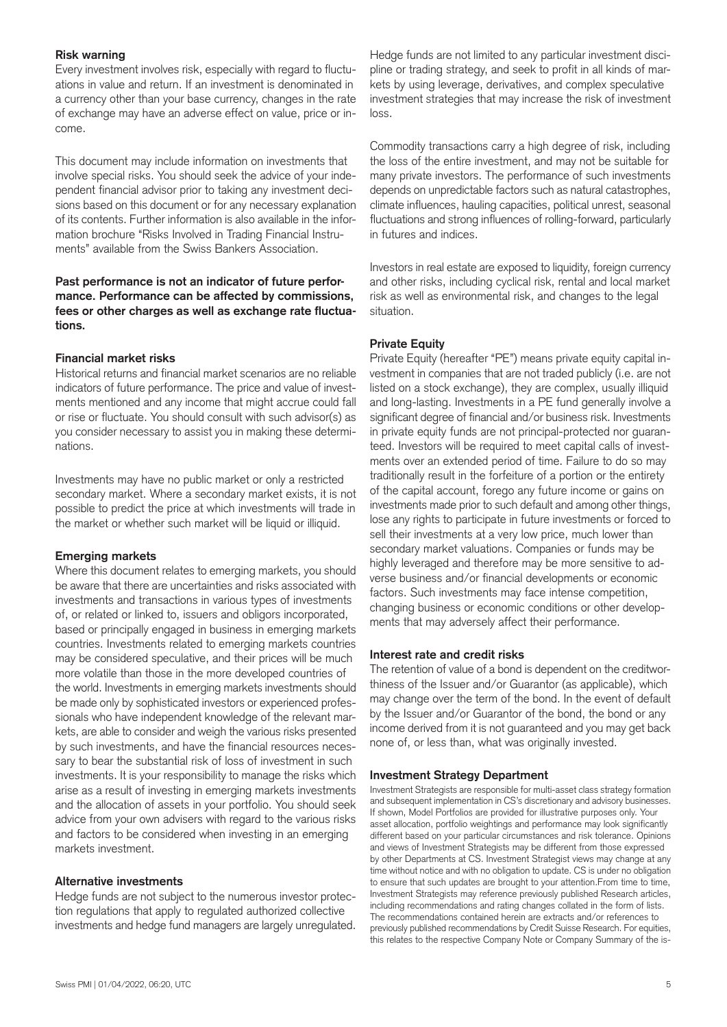# **Risk warning**

Every investment involves risk, especially with regard to fluctuations in value and return. If an investment is denominated in a currency other than your base currency, changes in the rate of exchange may have an adverse effect on value, price or income.

This document may include information on investments that involve special risks. You should seek the advice of your independent financial advisor prior to taking any investment decisions based on this document or for any necessary explanation of its contents. Further information is also available in the information brochure "Risks Involved in Trading Financial Instruments" available from the Swiss Bankers Association.

# **Past performance is not an indicator of future performance. Performance can be affected by commissions, fees or other charges as well as exchange rate fluctuations.**

#### **Financial market risks**

Historical returns and financial market scenarios are no reliable indicators of future performance. The price and value of investments mentioned and any income that might accrue could fall or rise or fluctuate. You should consult with such advisor(s) as you consider necessary to assist you in making these determinations.

Investments may have no public market or only a restricted secondary market. Where a secondary market exists, it is not possible to predict the price at which investments will trade in the market or whether such market will be liquid or illiquid.

#### **Emerging markets**

Where this document relates to emerging markets, you should be aware that there are uncertainties and risks associated with investments and transactions in various types of investments of, or related or linked to, issuers and obligors incorporated, based or principally engaged in business in emerging markets countries. Investments related to emerging markets countries may be considered speculative, and their prices will be much more volatile than those in the more developed countries of the world. Investments in emerging markets investments should be made only by sophisticated investors or experienced professionals who have independent knowledge of the relevant markets, are able to consider and weigh the various risks presented by such investments, and have the financial resources necessary to bear the substantial risk of loss of investment in such investments. It is your responsibility to manage the risks which arise as a result of investing in emerging markets investments and the allocation of assets in your portfolio. You should seek advice from your own advisers with regard to the various risks and factors to be considered when investing in an emerging markets investment.

#### **Alternative investments**

Hedge funds are not subject to the numerous investor protection regulations that apply to regulated authorized collective investments and hedge fund managers are largely unregulated. Hedge funds are not limited to any particular investment discipline or trading strategy, and seek to profit in all kinds of markets by using leverage, derivatives, and complex speculative investment strategies that may increase the risk of investment loss.

Commodity transactions carry a high degree of risk, including the loss of the entire investment, and may not be suitable for many private investors. The performance of such investments depends on unpredictable factors such as natural catastrophes, climate influences, hauling capacities, political unrest, seasonal fluctuations and strong influences of rolling-forward, particularly in futures and indices.

Investors in real estate are exposed to liquidity, foreign currency and other risks, including cyclical risk, rental and local market risk as well as environmental risk, and changes to the legal situation.

# **Private Equity**

Private Equity (hereafter "PE") means private equity capital investment in companies that are not traded publicly (i.e. are not listed on a stock exchange), they are complex, usually illiquid and long-lasting. Investments in a PE fund generally involve a significant degree of financial and/or business risk. Investments in private equity funds are not principal-protected nor guaranteed. Investors will be required to meet capital calls of investments over an extended period of time. Failure to do so may traditionally result in the forfeiture of a portion or the entirety of the capital account, forego any future income or gains on investments made prior to such default and among other things, lose any rights to participate in future investments or forced to sell their investments at a very low price, much lower than secondary market valuations. Companies or funds may be highly leveraged and therefore may be more sensitive to adverse business and/or financial developments or economic factors. Such investments may face intense competition, changing business or economic conditions or other developments that may adversely affect their performance.

#### **Interest rate and credit risks**

The retention of value of a bond is dependent on the creditworthiness of the Issuer and/or Guarantor (as applicable), which may change over the term of the bond. In the event of default by the Issuer and/or Guarantor of the bond, the bond or any income derived from it is not guaranteed and you may get back none of, or less than, what was originally invested.

#### **Investment Strategy Department**

Investment Strategists are responsible for multi-asset class strategy formation and subsequent implementation in CS's discretionary and advisory businesses. If shown, Model Portfolios are provided for illustrative purposes only. Your asset allocation, portfolio weightings and performance may look significantly different based on your particular circumstances and risk tolerance. Opinions and views of Investment Strategists may be different from those expressed by other Departments at CS. Investment Strategist views may change at any time without notice and with no obligation to update. CS is under no obligation to ensure that such updates are brought to your attention.From time to time, Investment Strategists may reference previously published Research articles, including recommendations and rating changes collated in the form of lists. The recommendations contained herein are extracts and/or references to previously published recommendations by Credit Suisse Research. For equities, this relates to the respective Company Note or Company Summary of the is-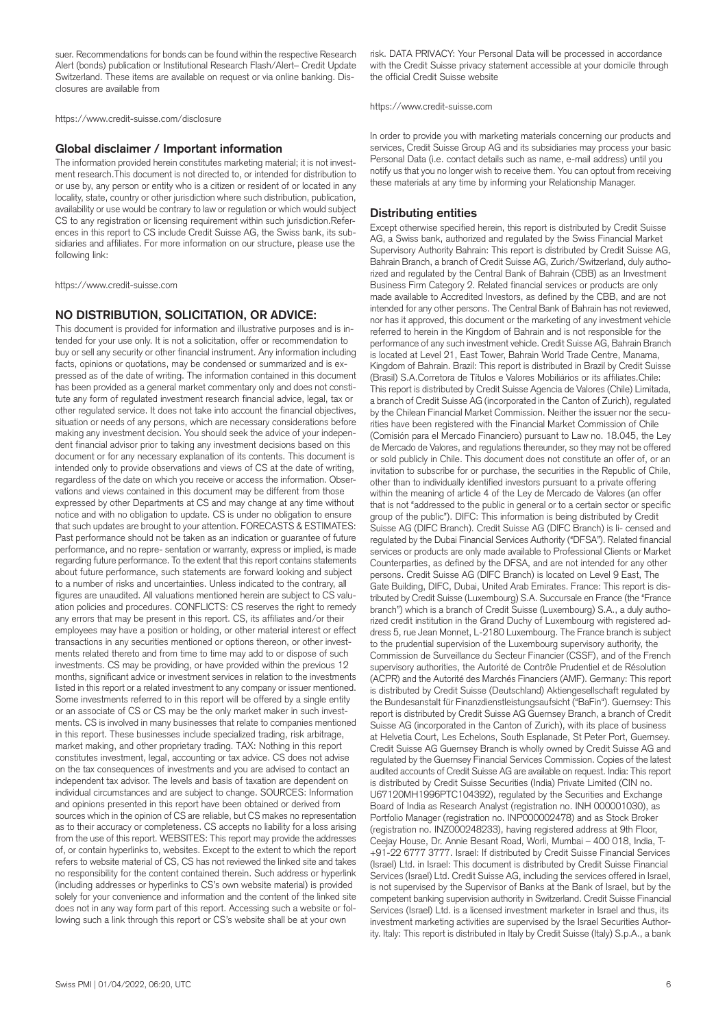suer. Recommendations for bonds can be found within the respective Research Alert (bonds) publication or Institutional Research Flash/Alert– Credit Update Switzerland. These items are available on request or via online banking. Disclosures are available from

<https://www.credit-suisse.com/disclosure>

#### **Global disclaimer / Important information**

The information provided herein constitutes marketing material; it is not investment research.This document is not directed to, or intended for distribution to or use by, any person or entity who is a citizen or resident of or located in any locality, state, country or other jurisdiction where such distribution, publication, availability or use would be contrary to law or regulation or which would subject CS to any registration or licensing requirement within such jurisdiction.References in this report to CS include Credit Suisse AG, the Swiss bank, its subsidiaries and affiliates. For more information on our structure, please use the following link:

<https://www.credit-suisse.com>

#### **NO DISTRIBUTION, SOLICITATION, OR ADVICE:**

This document is provided for information and illustrative purposes and is intended for your use only. It is not a solicitation, offer or recommendation to buy or sell any security or other financial instrument. Any information including facts, opinions or quotations, may be condensed or summarized and is expressed as of the date of writing. The information contained in this document has been provided as a general market commentary only and does not constitute any form of regulated investment research financial advice, legal, tax or other regulated service. It does not take into account the financial objectives, situation or needs of any persons, which are necessary considerations before making any investment decision. You should seek the advice of your independent financial advisor prior to taking any investment decisions based on this document or for any necessary explanation of its contents. This document is intended only to provide observations and views of CS at the date of writing, regardless of the date on which you receive or access the information. Observations and views contained in this document may be different from those expressed by other Departments at CS and may change at any time without notice and with no obligation to update. CS is under no obligation to ensure that such updates are brought to your attention. FORECASTS & ESTIMATES: Past performance should not be taken as an indication or guarantee of future performance, and no repre- sentation or warranty, express or implied, is made regarding future performance. To the extent that this report contains statements about future performance, such statements are forward looking and subject to a number of risks and uncertainties. Unless indicated to the contrary, all figures are unaudited. All valuations mentioned herein are subject to CS valuation policies and procedures. CONFLICTS: CS reserves the right to remedy any errors that may be present in this report. CS, its affiliates and/or their employees may have a position or holding, or other material interest or effect transactions in any securities mentioned or options thereon, or other investments related thereto and from time to time may add to or dispose of such investments. CS may be providing, or have provided within the previous 12 months, significant advice or investment services in relation to the investments listed in this report or a related investment to any company or issuer mentioned. Some investments referred to in this report will be offered by a single entity or an associate of CS or CS may be the only market maker in such investments. CS is involved in many businesses that relate to companies mentioned in this report. These businesses include specialized trading, risk arbitrage, market making, and other proprietary trading. TAX: Nothing in this report constitutes investment, legal, accounting or tax advice. CS does not advise on the tax consequences of investments and you are advised to contact an independent tax advisor. The levels and basis of taxation are dependent on individual circumstances and are subject to change. SOURCES: Information and opinions presented in this report have been obtained or derived from sources which in the opinion of CS are reliable, but CS makes no representation as to their accuracy or completeness. CS accepts no liability for a loss arising from the use of this report. WEBSITES: This report may provide the addresses of, or contain hyperlinks to, websites. Except to the extent to which the report refers to website material of CS, CS has not reviewed the linked site and takes no responsibility for the content contained therein. Such address or hyperlink (including addresses or hyperlinks to CS's own website material) is provided solely for your convenience and information and the content of the linked site does not in any way form part of this report. Accessing such a website or following such a link through this report or CS's website shall be at your own

risk. DATA PRIVACY: Your Personal Data will be processed in accordance with the Credit Suisse privacy statement accessible at your domicile through the official Credit Suisse website

<https://www.credit-suisse.com>

In order to provide you with marketing materials concerning our products and services, Credit Suisse Group AG and its subsidiaries may process your basic Personal Data (i.e. contact details such as name, e-mail address) until you notify us that you no longer wish to receive them. You can optout from receiving these materials at any time by informing your Relationship Manager.

#### **Distributing entities**

Except otherwise specified herein, this report is distributed by Credit Suisse AG, a Swiss bank, authorized and regulated by the Swiss Financial Market Supervisory Authority Bahrain: This report is distributed by Credit Suisse AG, Bahrain Branch, a branch of Credit Suisse AG, Zurich/Switzerland, duly authorized and regulated by the Central Bank of Bahrain (CBB) as an Investment Business Firm Category 2. Related financial services or products are only made available to Accredited Investors, as defined by the CBB, and are not intended for any other persons. The Central Bank of Bahrain has not reviewed, nor has it approved, this document or the marketing of any investment vehicle referred to herein in the Kingdom of Bahrain and is not responsible for the performance of any such investment vehicle. Credit Suisse AG, Bahrain Branch is located at Level 21, East Tower, Bahrain World Trade Centre, Manama, Kingdom of Bahrain. Brazil: This report is distributed in Brazil by Credit Suisse (Brasil) S.A.Corretora de Títulos e Valores Mobiliários or its affiliates.Chile: This report is distributed by Credit Suisse Agencia de Valores (Chile) Limitada, a branch of Credit Suisse AG (incorporated in the Canton of Zurich), regulated by the Chilean Financial Market Commission. Neither the issuer nor the securities have been registered with the Financial Market Commission of Chile (Comisión para el Mercado Financiero) pursuant to Law no. 18.045, the Ley de Mercado de Valores, and regulations thereunder, so they may not be offered or sold publicly in Chile. This document does not constitute an offer of, or an invitation to subscribe for or purchase, the securities in the Republic of Chile, other than to individually identified investors pursuant to a private offering within the meaning of article 4 of the Ley de Mercado de Valores (an offer that is not "addressed to the public in general or to a certain sector or specific group of the public"). DIFC: This information is being distributed by Credit Suisse AG (DIFC Branch). Credit Suisse AG (DIFC Branch) is li- censed and regulated by the Dubai Financial Services Authority ("DFSA"). Related financial services or products are only made available to Professional Clients or Market Counterparties, as defined by the DFSA, and are not intended for any other persons. Credit Suisse AG (DIFC Branch) is located on Level 9 East, The Gate Building, DIFC, Dubai, United Arab Emirates. France: This report is distributed by Credit Suisse (Luxembourg) S.A. Succursale en France (the "France branch") which is a branch of Credit Suisse (Luxembourg) S.A., a duly authorized credit institution in the Grand Duchy of Luxembourg with registered address 5, rue Jean Monnet, L-2180 Luxembourg. The France branch is subject to the prudential supervision of the Luxembourg supervisory authority, the Commission de Surveillance du Secteur Financier (CSSF), and of the French supervisory authorities, the Autorité de Contrôle Prudentiel et de Résolution (ACPR) and the Autorité des Marchés Financiers (AMF). Germany: This report is distributed by Credit Suisse (Deutschland) Aktiengesellschaft regulated by the Bundesanstalt für Finanzdienstleistungsaufsicht ("BaFin"). Guernsey: This report is distributed by Credit Suisse AG Guernsey Branch, a branch of Credit Suisse AG (incorporated in the Canton of Zurich), with its place of business at Helvetia Court, Les Echelons, South Esplanade, St Peter Port, Guernsey. Credit Suisse AG Guernsey Branch is wholly owned by Credit Suisse AG and regulated by the Guernsey Financial Services Commission. Copies of the latest audited accounts of Credit Suisse AG are available on request. India: This report is distributed by Credit Suisse Securities (India) Private Limited (CIN no. U67120MH1996PTC104392), regulated by the Securities and Exchange Board of India as Research Analyst (registration no. INH 000001030), as Portfolio Manager (registration no. INP000002478) and as Stock Broker (registration no. INZ000248233), having registered address at 9th Floor, Ceejay House, Dr. Annie Besant Road, Worli, Mumbai – 400 018, India, T- +91-22 6777 3777. Israel: If distributed by Credit Suisse Financial Services (Israel) Ltd. in Israel: This document is distributed by Credit Suisse Financial Services (Israel) Ltd. Credit Suisse AG, including the services offered in Israel, is not supervised by the Supervisor of Banks at the Bank of Israel, but by the competent banking supervision authority in Switzerland. Credit Suisse Financial Services (Israel) Ltd. is a licensed investment marketer in Israel and thus, its investment marketing activities are supervised by the Israel Securities Authority. Italy: This report is distributed in Italy by Credit Suisse (Italy) S.p.A., a bank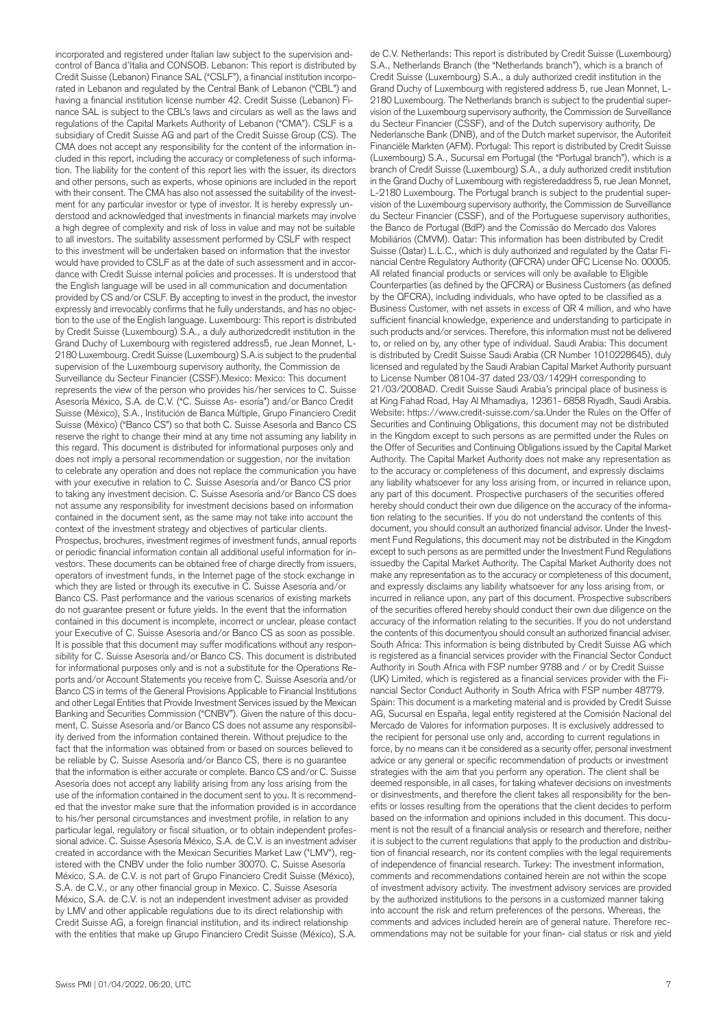incorporated and registered under Italian law subject to the supervision andcontrol of Banca d'Italia and CONSOB. Lebanon: This report is distributed by Credit Suisse (Lebanon) Finance SAL ("CSLF"), a financial institution incorporated in Lebanon and regulated by the Central Bank of Lebanon ("CBL") and having a financial institution license number 42. Credit Suisse (Lebanon) Finance SAL is subject to the CBL's laws and circulars as well as the laws and regulations of the Capital Markets Authority of Lebanon ("CMA"). CSLF is a subsidiary of Credit Suisse AG and part of the Credit Suisse Group (CS). The CMA does not accept any responsibility for the content of the information included in this report, including the accuracy or completeness of such information. The liability for the content of this report lies with the issuer, its directors and other persons, such as experts, whose opinions are included in the report with their consent. The CMA has also not assessed the suitability of the investment for any particular investor or type of investor. It is hereby expressly understood and acknowledged that investments in financial markets may involve a high degree of complexity and risk of loss in value and may not be suitable to all investors. The suitability assessment performed by CSLF with respect to this investment will be undertaken based on information that the investor would have provided to CSLF as at the date of such assessment and in accordance with Credit Suisse internal policies and processes. It is understood that the English language will be used in all communication and documentation provided by CS and/or CSLF. By accepting to invest in the product, the investor expressly and irrevocably confirms that he fully understands, and has no objection to the use of the English language. Luxembourg: This report is distributed by Credit Suisse (Luxembourg) S.A., a duly authorizedcredit institution in the Grand Duchy of Luxembourg with registered address5, rue Jean Monnet, L-2180 Luxembourg. Credit Suisse (Luxembourg) S.A.is subject to the prudential supervision of the Luxembourg supervisory authority, the Commission de Surveillance du Secteur Financier (CSSF).Mexico: Mexico: This document represents the view of the person who provides his/her services to C. Suisse Asesoría México, S.A. de C.V. ("C. Suisse As- esoría") and/or Banco Credit Suisse (México), S.A., Institución de Banca Múltiple, Grupo Financiero Credit Suisse (México) ("Banco CS") so that both C. Suisse Asesoría and Banco CS reserve the right to change their mind at any time not assuming any liability in this regard. This document is distributed for informational purposes only and does not imply a personal recommendation or suggestion, nor the invitation to celebrate any operation and does not replace the communication you have with your executive in relation to C. Suisse Asesoría and/or Banco CS prior to taking any investment decision. C. Suisse Asesoría and/or Banco CS does not assume any responsibility for investment decisions based on information contained in the document sent, as the same may not take into account the context of the investment strategy and objectives of particular clients. Prospectus, brochures, investment regimes of investment funds, annual reports or periodic financial information contain all additional useful information for investors. These documents can be obtained free of charge directly from issuers, operators of investment funds, in the Internet page of the stock exchange in which they are listed or through its executive in C. Suisse Asesoría and/or Banco CS. Past performance and the various scenarios of existing markets do not guarantee present or future yields. In the event that the information contained in this document is incomplete, incorrect or unclear, please contact your Executive of C. Suisse Asesoría and/or Banco CS as soon as possible. It is possible that this document may suffer modifications without any responsibility for C. Suisse Asesoría and/or Banco CS. This document is distributed for informational purposes only and is not a substitute for the Operations Reports and/or Account Statements you receive from C. Suisse Asesoría and/or Banco CS in terms of the General Provisions Applicable to Financial Institutions and other Legal Entities that Provide Investment Services issued by the Mexican Banking and Securities Commission ("CNBV"). Given the nature of this document, C. Suisse Asesoría and/or Banco CS does not assume any responsibility derived from the information contained therein. Without prejudice to the fact that the information was obtained from or based on sources believed to be reliable by C. Suisse Asesoría and/or Banco CS, there is no guarantee that the information is either accurate or complete. Banco CS and/or C. Suisse Asesoría does not accept any liability arising from any loss arising from the use of the information contained in the document sent to you. It is recommended that the investor make sure that the information provided is in accordance to his/her personal circumstances and investment profile, in relation to any particular legal, regulatory or fiscal situation, or to obtain independent professional advice. C. Suisse Asesoría México, S.A. de C.V. is an investment adviser created in accordance with the Mexican Securities Market Law ("LMV"), registered with the CNBV under the folio number 30070. C. Suisse Asesoría México, S.A. de C.V. is not part of Grupo Financiero Credit Suisse (México), S.A. de C.V., or any other financial group in Mexico. C. Suisse Asesoría México, S.A. de C.V. is not an independent investment adviser as provided by LMV and other applicable regulations due to its direct relationship with Credit Suisse AG, a foreign financial institution, and its indirect relationship with the entities that make up Grupo Financiero Credit Suisse (México), S.A.

S.A., Netherlands Branch (the "Netherlands branch"), which is a branch of Credit Suisse (Luxembourg) S.A., a duly authorized credit institution in the Grand Duchy of Luxembourg with registered address 5, rue Jean Monnet, L-2180 Luxembourg. The Netherlands branch is subject to the prudential supervision of the Luxembourg supervisory authority, the Commission de Surveillance du Secteur Financier (CSSF), and of the Dutch supervisory authority, De Nederlansche Bank (DNB), and of the Dutch market supervisor, the Autoriteit Financiële Markten (AFM). Portugal: This report is distributed by Credit Suisse (Luxembourg) S.A., Sucursal em Portugal (the "Portugal branch"), which is a branch of Credit Suisse (Luxembourg) S.A., a duly authorized credit institution in the Grand Duchy of Luxembourg with registeredaddress 5, rue Jean Monnet, L-2180 Luxembourg. The Portugal branch is subject to the prudential supervision of the Luxembourg supervisory authority, the Commission de Surveillance du Secteur Financier (CSSF), and of the Portuguese supervisory authorities, the Banco de Portugal (BdP) and the Comissão do Mercado dos Valores Mobiliários (CMVM). Qatar: This information has been distributed by Credit Suisse (Qatar) L.L.C., which is duly authorized and regulated by the Qatar Financial Centre Regulatory Authority (QFCRA) under QFC License No. 00005. All related financial products or services will only be available to Eligible Counterparties (as defined by the QFCRA) or Business Customers (as defined by the QFCRA), including individuals, who have opted to be classified as a Business Customer, with net assets in excess of QR 4 million, and who have sufficient financial knowledge, experience and understanding to participate in such products and/or services. Therefore, this information must not be delivered to, or relied on by, any other type of individual. Saudi Arabia: This document is distributed by Credit Suisse Saudi Arabia (CR Number 1010228645), duly licensed and regulated by the Saudi Arabian Capital Market Authority pursuant to License Number 08104-37 dated 23/03/1429H corresponding to 21/03/2008AD. Credit Suisse Saudi Arabia's principal place of business is at King Fahad Road, Hay Al Mhamadiya, 12361- 6858 Riyadh, Saudi Arabia. Website: <https://www.credit-suisse.com/sa.Under> the Rules on the Offer of Securities and Continuing Obligations, this document may not be distributed in the Kingdom except to such persons as are permitted under the Rules on the Offer of Securities and Continuing Obligations issued by the Capital Market Authority. The Capital Market Authority does not make any representation as to the accuracy or completeness of this document, and expressly disclaims any liability whatsoever for any loss arising from, or incurred in reliance upon, any part of this document. Prospective purchasers of the securities offered hereby should conduct their own due diligence on the accuracy of the information relating to the securities. If you do not understand the contents of this document, you should consult an authorized financial advisor. Under the Investment Fund Regulations, this document may not be distributed in the Kingdom except to such persons as are permitted under the Investment Fund Regulations issuedby the Capital Market Authority. The Capital Market Authority does not make any representation as to the accuracy or completeness of this document, and expressly disclaims any liability whatsoever for any loss arising from, or incurred in reliance upon, any part of this document. Prospective subscribers of the securities offered hereby should conduct their own due diligence on the accuracy of the information relating to the securities. If you do not understand the contents of this documentyou should consult an authorized financial adviser. South Africa: This information is being distributed by Credit Suisse AG which is registered as a financial services provider with the Financial Sector Conduct Authority in South Africa with FSP number 9788 and / or by Credit Suisse (UK) Limited, which is registered as a financial services provider with the Financial Sector Conduct Authority in South Africa with FSP number 48779. Spain: This document is a marketing material and is provided by Credit Suisse AG, Sucursal en España, legal entity registered at the Comisión Nacional del Mercado de Valores for information purposes. It is exclusively addressed to the recipient for personal use only and, according to current regulations in force, by no means can it be considered as a security offer, personal investment advice or any general or specific recommendation of products or investment strategies with the aim that you perform any operation. The client shall be deemed responsible, in all cases, for taking whatever decisions on investments or disinvestments, and therefore the client takes all responsibility for the benefits or losses resulting from the operations that the client decides to perform based on the information and opinions included in this document. This document is not the result of a financial analysis or research and therefore, neither it is subject to the current regulations that apply to the production and distribution of financial research, nor its content complies with the legal requirements of independence of financial research. Turkey: The investment information, comments and recommendations contained herein are not within the scope of investment advisory activity. The investment advisory services are provided by the authorized institutions to the persons in a customized manner taking into account the risk and return preferences of the persons. Whereas, the comments and advices included herein are of general nature. Therefore recommendations may not be suitable for your finan- cial status or risk and yield

de C.V. Netherlands: This report is distributed by Credit Suisse (Luxembourg)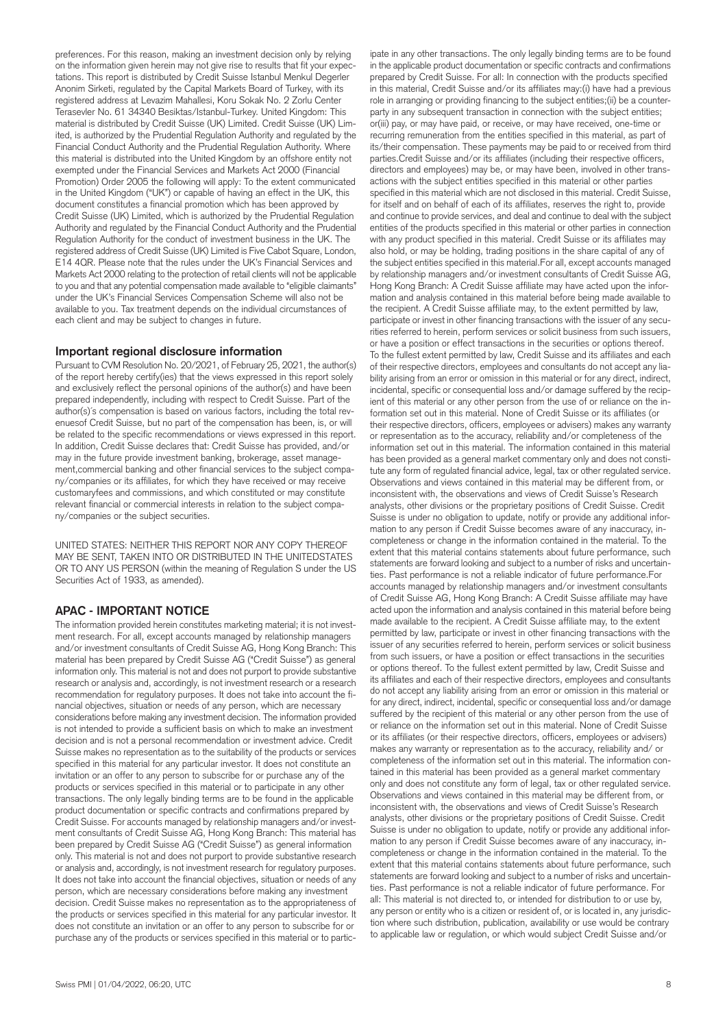preferences. For this reason, making an investment decision only by relying on the information given herein may not give rise to results that fit your expectations. This report is distributed by Credit Suisse Istanbul Menkul Degerler Anonim Sirketi, regulated by the Capital Markets Board of Turkey, with its registered address at Levazim Mahallesi, Koru Sokak No. 2 Zorlu Center Terasevler No. 61 34340 Besiktas/Istanbul-Turkey. United Kingdom: This material is distributed by Credit Suisse (UK) Limited. Credit Suisse (UK) Limited, is authorized by the Prudential Regulation Authority and regulated by the Financial Conduct Authority and the Prudential Regulation Authority. Where this material is distributed into the United Kingdom by an offshore entity not exempted under the Financial Services and Markets Act 2000 (Financial Promotion) Order 2005 the following will apply: To the extent communicated in the United Kingdom ("UK") or capable of having an effect in the UK, this document constitutes a financial promotion which has been approved by Credit Suisse (UK) Limited, which is authorized by the Prudential Regulation Authority and regulated by the Financial Conduct Authority and the Prudential Regulation Authority for the conduct of investment business in the UK. The registered address of Credit Suisse (UK) Limited is Five Cabot Square, London, E14 4QR. Please note that the rules under the UK's Financial Services and Markets Act 2000 relating to the protection of retail clients will not be applicable to you and that any potential compensation made available to "eligible claimants" under the UK's Financial Services Compensation Scheme will also not be available to you. Tax treatment depends on the individual circumstances of each client and may be subject to changes in future.

#### **Important regional disclosure information**

Pursuant to CVM Resolution No. 20/2021, of February 25, 2021, the author(s) of the report hereby certify(ies) that the views expressed in this report solely and exclusively reflect the personal opinions of the author(s) and have been prepared independently, including with respect to Credit Suisse. Part of the author(s)´s compensation is based on various factors, including the total revenuesof Credit Suisse, but no part of the compensation has been, is, or will be related to the specific recommendations or views expressed in this report. In addition, Credit Suisse declares that: Credit Suisse has provided, and/or may in the future provide investment banking, brokerage, asset management,commercial banking and other financial services to the subject company/companies or its affiliates, for which they have received or may receive customaryfees and commissions, and which constituted or may constitute relevant financial or commercial interests in relation to the subject company/companies or the subject securities.

UNITED STATES: NEITHER THIS REPORT NOR ANY COPY THEREOF MAY BE SENT, TAKEN INTO OR DISTRIBUTED IN THE UNITEDSTATES OR TO ANY US PERSON (within the meaning of Regulation S under the US Securities Act of 1933, as amended).

#### **APAC - IMPORTANT NOTICE**

The information provided herein constitutes marketing material; it is not investment research. For all, except accounts managed by relationship managers and/or investment consultants of Credit Suisse AG, Hong Kong Branch: This material has been prepared by Credit Suisse AG ("Credit Suisse") as general information only. This material is not and does not purport to provide substantive research or analysis and, accordingly, is not investment research or a research recommendation for regulatory purposes. It does not take into account the financial objectives, situation or needs of any person, which are necessary considerations before making any investment decision. The information provided is not intended to provide a sufficient basis on which to make an investment decision and is not a personal recommendation or investment advice. Credit Suisse makes no representation as to the suitability of the products or services specified in this material for any particular investor. It does not constitute an invitation or an offer to any person to subscribe for or purchase any of the products or services specified in this material or to participate in any other transactions. The only legally binding terms are to be found in the applicable product documentation or specific contracts and confirmations prepared by Credit Suisse. For accounts managed by relationship managers and/or investment consultants of Credit Suisse AG, Hong Kong Branch: This material has been prepared by Credit Suisse AG ("Credit Suisse") as general information only. This material is not and does not purport to provide substantive research or analysis and, accordingly, is not investment research for regulatory purposes. It does not take into account the financial objectives, situation or needs of any person, which are necessary considerations before making any investment decision. Credit Suisse makes no representation as to the appropriateness of the products or services specified in this material for any particular investor. It does not constitute an invitation or an offer to any person to subscribe for or purchase any of the products or services specified in this material or to partic-

in the applicable product documentation or specific contracts and confirmations prepared by Credit Suisse. For all: In connection with the products specified in this material, Credit Suisse and/or its affiliates may:(i) have had a previous role in arranging or providing financing to the subject entities;(ii) be a counterparty in any subsequent transaction in connection with the subject entities; or(iii) pay, or may have paid, or receive, or may have received, one-time or recurring remuneration from the entities specified in this material, as part of its/their compensation. These payments may be paid to or received from third parties.Credit Suisse and/or its affiliates (including their respective officers, directors and employees) may be, or may have been, involved in other transactions with the subject entities specified in this material or other parties specified in this material which are not disclosed in this material. Credit Suisse, for itself and on behalf of each of its affiliates, reserves the right to, provide and continue to provide services, and deal and continue to deal with the subject entities of the products specified in this material or other parties in connection with any product specified in this material. Credit Suisse or its affiliates may also hold, or may be holding, trading positions in the share capital of any of the subject entities specified in this material.For all, except accounts managed by relationship managers and/or investment consultants of Credit Suisse AG, Hong Kong Branch: A Credit Suisse affiliate may have acted upon the information and analysis contained in this material before being made available to the recipient. A Credit Suisse affiliate may, to the extent permitted by law, participate or invest in other financing transactions with the issuer of any securities referred to herein, perform services or solicit business from such issuers, or have a position or effect transactions in the securities or options thereof. To the fullest extent permitted by law, Credit Suisse and its affiliates and each of their respective directors, employees and consultants do not accept any liability arising from an error or omission in this material or for any direct, indirect, incidental, specific or consequential loss and/or damage suffered by the recipient of this material or any other person from the use of or reliance on the information set out in this material. None of Credit Suisse or its affiliates (or their respective directors, officers, employees or advisers) makes any warranty or representation as to the accuracy, reliability and/or completeness of the information set out in this material. The information contained in this material has been provided as a general market commentary only and does not constitute any form of regulated financial advice, legal, tax or other regulated service. Observations and views contained in this material may be different from, or inconsistent with, the observations and views of Credit Suisse's Research analysts, other divisions or the proprietary positions of Credit Suisse. Credit Suisse is under no obligation to update, notify or provide any additional information to any person if Credit Suisse becomes aware of any inaccuracy, incompleteness or change in the information contained in the material. To the extent that this material contains statements about future performance, such statements are forward looking and subject to a number of risks and uncertainties. Past performance is not a reliable indicator of future performance.For accounts managed by relationship managers and/or investment consultants of Credit Suisse AG, Hong Kong Branch: A Credit Suisse affiliate may have acted upon the information and analysis contained in this material before being made available to the recipient. A Credit Suisse affiliate may, to the extent permitted by law, participate or invest in other financing transactions with the issuer of any securities referred to herein, perform services or solicit business from such issuers, or have a position or effect transactions in the securities or options thereof. To the fullest extent permitted by law, Credit Suisse and its affiliates and each of their respective directors, employees and consultants do not accept any liability arising from an error or omission in this material or for any direct, indirect, incidental, specific or consequential loss and/or damage suffered by the recipient of this material or any other person from the use of or reliance on the information set out in this material. None of Credit Suisse or its affiliates (or their respective directors, officers, employees or advisers) makes any warranty or representation as to the accuracy, reliability and/ or completeness of the information set out in this material. The information contained in this material has been provided as a general market commentary only and does not constitute any form of legal, tax or other regulated service. Observations and views contained in this material may be different from, or inconsistent with, the observations and views of Credit Suisse's Research analysts, other divisions or the proprietary positions of Credit Suisse. Credit Suisse is under no obligation to update, notify or provide any additional information to any person if Credit Suisse becomes aware of any inaccuracy, incompleteness or change in the information contained in the material. To the extent that this material contains statements about future performance, such statements are forward looking and subject to a number of risks and uncertainties. Past performance is not a reliable indicator of future performance. For all: This material is not directed to, or intended for distribution to or use by, any person or entity who is a citizen or resident of, or is located in, any jurisdiction where such distribution, publication, availability or use would be contrary

to applicable law or regulation, or which would subject Credit Suisse and/or

ipate in any other transactions. The only legally binding terms are to be found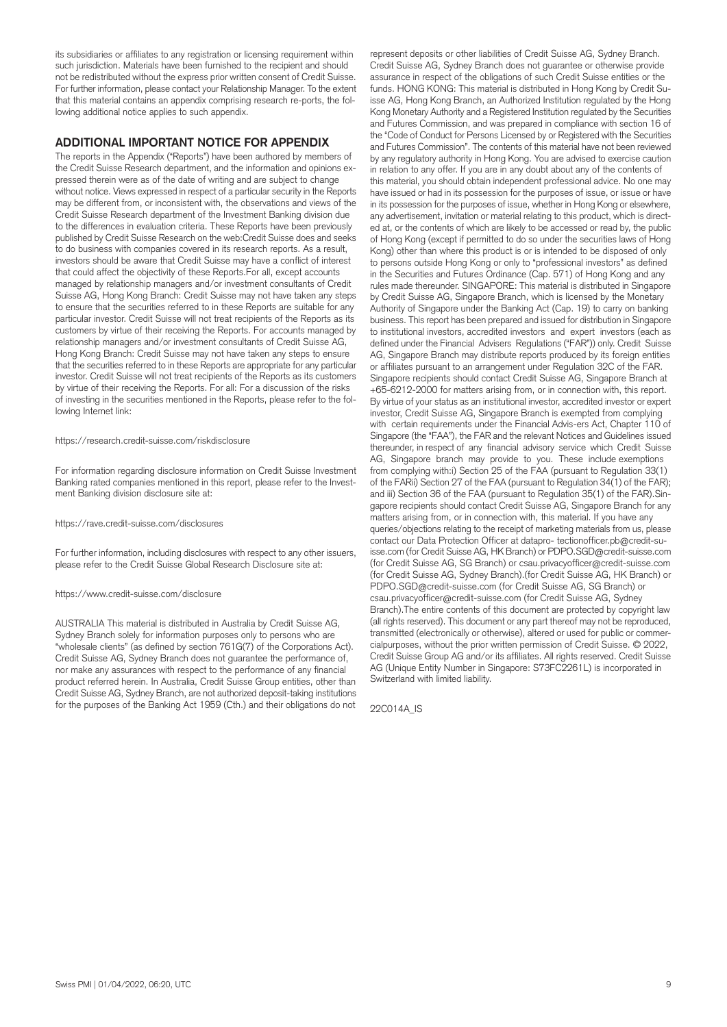its subsidiaries or affiliates to any registration or licensing requirement within such jurisdiction. Materials have been furnished to the recipient and should not be redistributed without the express prior written consent of Credit Suisse. For further information, please contact your Relationship Manager. To the extent that this material contains an appendix comprising research re-ports, the following additional notice applies to such appendix.

#### **ADDITIONAL IMPORTANT NOTICE FOR APPENDIX**

The reports in the Appendix ("Reports") have been authored by members of the Credit Suisse Research department, and the information and opinions expressed therein were as of the date of writing and are subject to change without notice. Views expressed in respect of a particular security in the Reports may be different from, or inconsistent with, the observations and views of the Credit Suisse Research department of the Investment Banking division due to the differences in evaluation criteria. These Reports have been previously published by Credit Suisse Research on the web:Credit Suisse does and seeks to do business with companies covered in its research reports. As a result, investors should be aware that Credit Suisse may have a conflict of interest that could affect the objectivity of these Reports.For all, except accounts managed by relationship managers and/or investment consultants of Credit Suisse AG, Hong Kong Branch: Credit Suisse may not have taken any steps to ensure that the securities referred to in these Reports are suitable for any particular investor. Credit Suisse will not treat recipients of the Reports as its customers by virtue of their receiving the Reports. For accounts managed by relationship managers and/or investment consultants of Credit Suisse AG, Hong Kong Branch: Credit Suisse may not have taken any steps to ensure that the securities referred to in these Reports are appropriate for any particular investor. Credit Suisse will not treat recipients of the Reports as its customers by virtue of their receiving the Reports. For all: For a discussion of the risks of investing in the securities mentioned in the Reports, please refer to the following Internet link:

#### <https://research.credit-suisse.com/riskdisclosure>

For information regarding disclosure information on Credit Suisse Investment Banking rated companies mentioned in this report, please refer to the Investment Banking division disclosure site at:

#### <https://rave.credit-suisse.com/disclosures>

For further information, including disclosures with respect to any other issuers, please refer to the Credit Suisse Global Research Disclosure site at:

#### <https://www.credit-suisse.com/disclosure>

AUSTRALIA This material is distributed in Australia by Credit Suisse AG, Sydney Branch solely for information purposes only to persons who are "wholesale clients" (as defined by section 761G(7) of the Corporations Act). Credit Suisse AG, Sydney Branch does not guarantee the performance of, nor make any assurances with respect to the performance of any financial product referred herein. In Australia, Credit Suisse Group entities, other than Credit Suisse AG, Sydney Branch, are not authorized deposit-taking institutions for the purposes of the Banking Act 1959 (Cth.) and their obligations do not

represent deposits or other liabilities of Credit Suisse AG, Sydney Branch. Credit Suisse AG, Sydney Branch does not guarantee or otherwise provide assurance in respect of the obligations of such Credit Suisse entities or the funds. HONG KONG: This material is distributed in Hong Kong by Credit Suisse AG, Hong Kong Branch, an Authorized Institution regulated by the Hong Kong Monetary Authority and a Registered Institution regulated by the Securities and Futures Commission, and was prepared in compliance with section 16 of the "Code of Conduct for Persons Licensed by or Registered with the Securities and Futures Commission". The contents of this material have not been reviewed by any regulatory authority in Hong Kong. You are advised to exercise caution in relation to any offer. If you are in any doubt about any of the contents of this material, you should obtain independent professional advice. No one may have issued or had in its possession for the purposes of issue, or issue or have in its possession for the purposes of issue, whether in Hong Kong or elsewhere, any advertisement, invitation or material relating to this product, which is directed at, or the contents of which are likely to be accessed or read by, the public of Hong Kong (except if permitted to do so under the securities laws of Hong Kong) other than where this product is or is intended to be disposed of only to persons outside Hong Kong or only to "professional investors" as defined in the Securities and Futures Ordinance (Cap. 571) of Hong Kong and any rules made thereunder. SINGAPORE: This material is distributed in Singapore by Credit Suisse AG, Singapore Branch, which is licensed by the Monetary Authority of Singapore under the Banking Act (Cap. 19) to carry on banking business. This report has been prepared and issued for distribution in Singapore to institutional investors, accredited investors and expert investors (each as defined under the Financial Advisers Regulations ("FAR")) only. Credit Suisse AG, Singapore Branch may distribute reports produced by its foreign entities or affiliates pursuant to an arrangement under Regulation 32C of the FAR. Singapore recipients should contact Credit Suisse AG, Singapore Branch at +65-6212-2000 for matters arising from, or in connection with, this report. By virtue of your status as an institutional investor, accredited investor or expert investor, Credit Suisse AG, Singapore Branch is exempted from complying with certain requirements under the Financial Advis-ers Act, Chapter 110 of Singapore (the "FAA"), the FAR and the relevant Notices and Guidelines issued thereunder, in respect of any financial advisory service which Credit Suisse AG, Singapore branch may provide to you. These include exemptions from complying with:i) Section 25 of the FAA (pursuant to Regulation 33(1) of the FARii) Section 27 of the FAA (pursuant to Regulation 34(1) of the FAR); and iii) Section 36 of the FAA (pursuant to Regulation 35(1) of the FAR).Singapore recipients should contact Credit Suisse AG, Singapore Branch for any matters arising from, or in connection with, this material. If you have any queries/objections relating to the receipt of marketing materials from us, please contact our Data Protection Officer at [datapro- tectionofficer.pb@credit-su](mailto:datapro-tectionofficer.pb@credit-su)[isse.com](https://isse.com) (for Credit Suisse AG, HK Branch) or [PDPO.SGD@credit-suisse.com](mailto:PDPO.SGD@credit-suisse.com) (for Credit Suisse AG, SG Branch) or [csau.privacyofficer@credit-suisse.com](mailto:csau.privacyofficer@credit-suisse.com) (for Credit Suisse AG, Sydney Branch).(for Credit Suisse AG, HK Branch) or [PDPO.SGD@credit-suisse.com](mailto:PDPO.SGD@credit-suisse.com) (for Credit Suisse AG, SG Branch) or [csau.privacyofficer@credit-suisse.com](mailto:csau.privacyofficer@credit-suisse.com) (for Credit Suisse AG, Sydney Branch).The entire contents of this document are protected by copyright law (all rights reserved). This document or any part thereof may not be reproduced, transmitted (electronically or otherwise), altered or used for public or commercialpurposes, without the prior written permission of Credit Suisse. © 2022, Credit Suisse Group AG and/or its affiliates. All rights reserved. Credit Suisse AG (Unique Entity Number in Singapore: S73FC2261L) is incorporated in Switzerland with limited liability.

22C014A\_IS